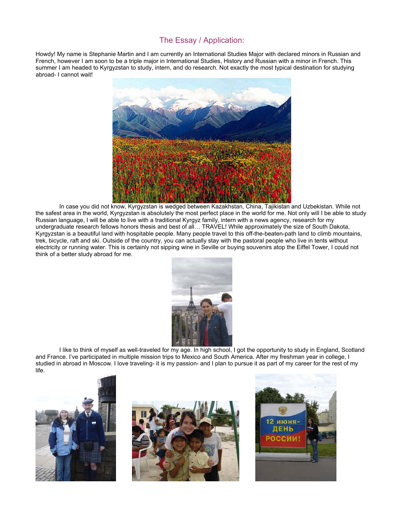## The Essay / Application:

Howdy! My name is Stephanie Martin and I am currently an International Studies Major with declared minors in Russian and French, however I am soon to be a triple major in International Studies, History and Russian with a minor in French. This summer I am headed to Kyrgyzstan to study, intern, and do research. Not exactly the most typical destination for studying abroad- I cannot wait!



In case you did not know, Kyrgyzstan is wedged between Kazakhstan, China, Tajikistan and Uzbekistan. While not the safest area in the world, Kyrgyzstan is absolutely the most perfect place in the world for me. Not only will I be able to study Russian language, I will be able to live with a traditional Kyrgyz family, intern with a news agency, research for my undergraduate research fellows honors thesis and best of all… TRAVEL! While approximately the size of South Dakota, Kyrgyzstan is a beautiful land with hospitable people. Many people travel to this off-the-beaten-path land to climb mountains, trek, bicycle, raft and ski. Outside of the country, you can actually stay with the pastoral people who live in tents without electricity or running water. This is certainly not sipping wine in Seville or buying souvenirs atop the Eiffel Tower, I could not think of a better study abroad for me.



I like to think of myself as well-traveled for my age. In high school, I got the opportunity to study in England, Scotland and France. I've participated in multiple mission trips to Mexico and South America. After my freshman year in college, I studied in abroad in Moscow. I love traveling- it is my passion- and I plan to pursue it as part of my career for the rest of my life.





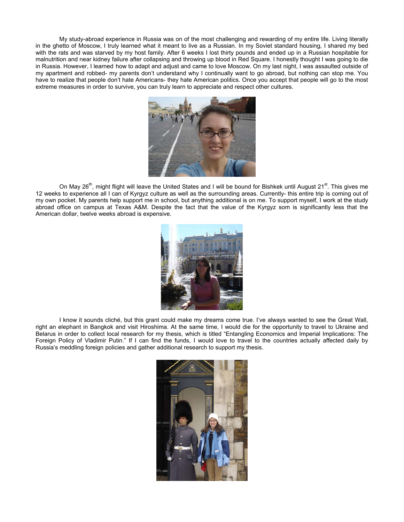My study-abroad experience in Russia was on of the most challenging and rewarding of my entire life. Living literally in the ghetto of Moscow, I truly learned what it meant to live as a Russian. In my Soviet standard housing, I shared my bed with the rats and was starved by my host family. After 6 weeks I lost thirty pounds and ended up in a Russian hospitable for malnutrition and near kidney failure after collapsing and throwing up blood in Red Square. I honestly thought I was going to die in Russia. However, I learned how to adapt and adjust and came to love Moscow. On my last night, I was assaulted outside of my apartment and robbed- my parents don't understand why I continually want to go abroad, but nothing can stop me. You have to realize that people don't hate Americans- they hate American politics. Once you accept that people will go to the most extreme measures in order to survive, you can truly learn to appreciate and respect other cultures.



On May 26<sup>th</sup>, might flight will leave the United States and I will be bound for Bishkek until August 21<sup>st</sup>. This gives me 12 weeks to experience all I can of Kyrgyz culture as well as the surrounding areas. Currently- this entire trip is coming out of my own pocket. My parents help support me in school, but anything additional is on me. To support myself, I work at the study abroad office on campus at Texas A&M. Despite the fact that the value of the Kyrgyz som is significantly less that the American dollar, twelve weeks abroad is expensive.



I know it sounds cliché, but this grant could make my dreams come true. I've always wanted to see the Great Wall, right an elephant in Bangkok and visit Hiroshima. At the same time, I would die for the opportunity to travel to Ukraine and Belarus in order to collect local research for my thesis, which is titled "Entangling Economics and Imperial Implications: The Foreign Policy of Vladimir Putin." If I can find the funds, I would love to travel to the countries actually affected daily by Russia's meddling foreign policies and gather additional research to support my thesis.